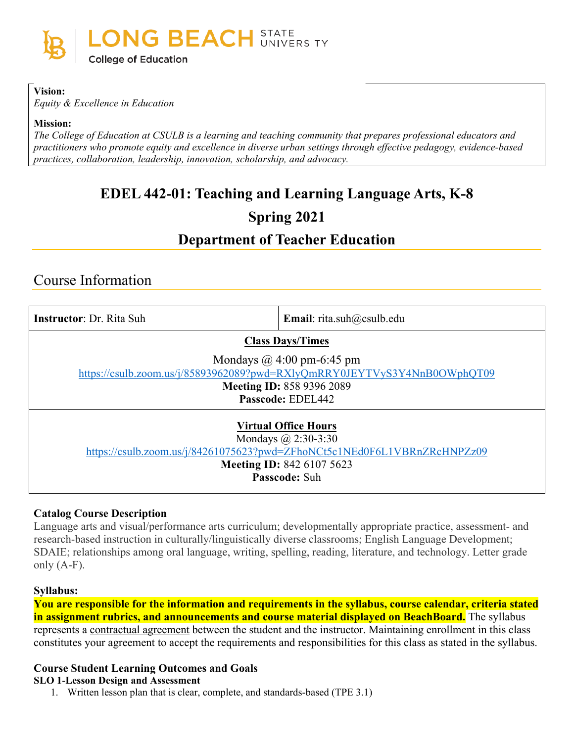

#### **Vision:**

*Equity & Excellence in Education*

#### **Mission:**

*The College of Education at CSULB is a learning and teaching community that prepares professional educators and practitioners who promote equity and excellence in diverse urban settings through effective pedagogy, evidence-based practices, collaboration, leadership, innovation, scholarship, and advocacy.*

# **EDEL 442-01: Teaching and Learning Language Arts, K-8**

# **Spring 2021**

# **Department of Teacher Education**

# Course Information

| <b>Instructor:</b> Dr. Rita Suh                                                                                                                                                            | <b>Email:</b> rita.suh@csulb.edu |  |  |
|--------------------------------------------------------------------------------------------------------------------------------------------------------------------------------------------|----------------------------------|--|--|
| <b>Class Days/Times</b>                                                                                                                                                                    |                                  |  |  |
| Mondays $\omega$ 4:00 pm-6:45 pm<br>https://csulb.zoom.us/j/85893962089?pwd=RXlyQmRRY0JEYTVyS3Y4NnB0OWphQT09<br><b>Meeting ID: 858 9396 2089</b><br>Passcode: EDEL442                      |                                  |  |  |
| <b>Virtual Office Hours</b><br>Mondays $\omega$ 2:30-3:30<br>https://csulb.zoom.us/j/84261075623?pwd=ZFhoNCt5c1NEd0F6L1VBRnZRcHNPZz09<br><b>Meeting ID: 842 6107 5623</b><br>Passcode: Suh |                                  |  |  |

### **Catalog Course Description**

Language arts and visual/performance arts curriculum; developmentally appropriate practice, assessment- and research-based instruction in culturally/linguistically diverse classrooms; English Language Development; SDAIE; relationships among oral language, writing, spelling, reading, literature, and technology. Letter grade only  $(A-F)$ .

### **Syllabus:**

**You are responsible for the information and requirements in the syllabus, course calendar, criteria stated in assignment rubrics, and announcements and course material displayed on BeachBoard.** The syllabus represents a contractual agreement between the student and the instructor. Maintaining enrollment in this class constitutes your agreement to accept the requirements and responsibilities for this class as stated in the syllabus.

### **Course Student Learning Outcomes and Goals**

#### **SLO 1**-**Lesson Design and Assessment**

1. Written lesson plan that is clear, complete, and standards-based (TPE 3.1)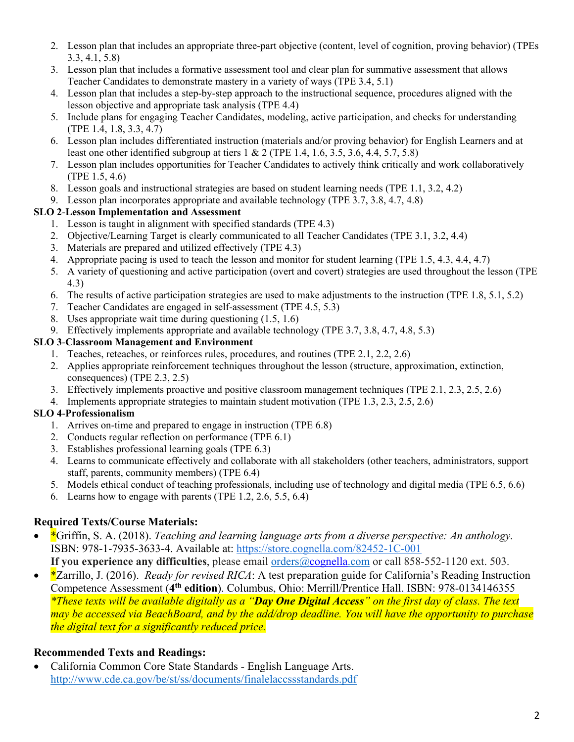- 2. Lesson plan that includes an appropriate three-part objective (content, level of cognition, proving behavior) (TPEs 3.3, 4.1, 5.8)
- 3. Lesson plan that includes a formative assessment tool and clear plan for summative assessment that allows Teacher Candidates to demonstrate mastery in a variety of ways (TPE 3.4, 5.1)
- 4. Lesson plan that includes a step-by-step approach to the instructional sequence, procedures aligned with the lesson objective and appropriate task analysis (TPE 4.4)
- 5. Include plans for engaging Teacher Candidates, modeling, active participation, and checks for understanding (TPE 1.4, 1.8, 3.3, 4.7)
- 6. Lesson plan includes differentiated instruction (materials and/or proving behavior) for English Learners and at least one other identified subgroup at tiers  $1 \& 2$  (TPE 1.4, 1.6, 3.5, 3.6, 4.4, 5.7, 5.8)
- 7. Lesson plan includes opportunities for Teacher Candidates to actively think critically and work collaboratively (TPE 1.5, 4.6)
- 8. Lesson goals and instructional strategies are based on student learning needs (TPE 1.1, 3.2, 4.2)
- 9. Lesson plan incorporates appropriate and available technology (TPE 3.7, 3.8, 4.7, 4.8)

### **SLO 2**-**Lesson Implementation and Assessment**

- 1. Lesson is taught in alignment with specified standards (TPE 4.3)
- 2. Objective/Learning Target is clearly communicated to all Teacher Candidates (TPE 3.1, 3.2, 4.4)
- 3. Materials are prepared and utilized effectively (TPE 4.3)
- 4. Appropriate pacing is used to teach the lesson and monitor for student learning (TPE 1.5, 4.3, 4.4, 4.7)
- 5. A variety of questioning and active participation (overt and covert) strategies are used throughout the lesson (TPE 4.3)
- 6. The results of active participation strategies are used to make adjustments to the instruction (TPE 1.8, 5.1, 5.2)
- 7. Teacher Candidates are engaged in self-assessment (TPE 4.5, 5.3)
- 8. Uses appropriate wait time during questioning (1.5, 1.6)
- 9. Effectively implements appropriate and available technology (TPE 3.7, 3.8, 4.7, 4.8, 5.3)

### **SLO 3**-**Classroom Management and Environment**

- 1. Teaches, reteaches, or reinforces rules, procedures, and routines (TPE 2.1, 2.2, 2.6)
- 2. Applies appropriate reinforcement techniques throughout the lesson (structure, approximation, extinction, consequences) (TPE 2.3, 2.5)
- 3. Effectively implements proactive and positive classroom management techniques (TPE 2.1, 2.3, 2.5, 2.6)
- 4. Implements appropriate strategies to maintain student motivation (TPE 1.3, 2.3, 2.5, 2.6)

### **SLO 4**-**Professionalism**

- 1. Arrives on-time and prepared to engage in instruction (TPE 6.8)
- 2. Conducts regular reflection on performance (TPE 6.1)
- 3. Establishes professional learning goals (TPE 6.3)
- 4. Learns to communicate effectively and collaborate with all stakeholders (other teachers, administrators, support staff, parents, community members) (TPE 6.4)
- 5. Models ethical conduct of teaching professionals, including use of technology and digital media (TPE 6.5, 6.6)
- 6. Learns how to engage with parents (TPE 1.2, 2.6, 5.5, 6.4)

# **Required Texts/Course Materials:**

- \*Griffin, S. A. (2018). *Teaching and learning language arts from a diverse perspective: An anthology.* ISBN: 978-1-7935-3633-4. Available at: [https://store.cognella.com/82452-1C-001](https://nam12.safelinks.protection.outlook.com/?url=https%3A%2F%2Fstore.cognella.com%2F82452-1C-001&data=04%7C01%7Cstacy.griffin%40csulb.edu%7Cade629eb648f4cf7d71508d8a08ad48d%7Cd175679bacd34644be82af041982977a%7C0%7C0%7C637435865439420000%7CUnknown%7CTWFpbGZsb3d8eyJWIjoiMC4wLjAwMDAiLCJQIjoiV2luMzIiLCJBTiI6Ik1haWwiLCJXVCI6Mn0%3D%7C1000&sdata=eGo%2BoyqIHtEkcHjRF2tkiks8I%2BAnl7Fr7w9EYcT73nw%3D&reserved=0)
	- **If you experience any difficulties**, please email [orders@cognella.com](mailto:orders@cognella.com) or call 858-552-1120 ext. 503.
- \*Zarrillo, J. (2016). *Ready for revised RICA*: A test preparation guide for California's Reading Instruction Competence Assessment (**4th edition**). Columbus, Ohio: Merrill/Prentice Hall. ISBN: 978-0134146355 *\*These texts will be available digitally as a "Day One Digital Access" on the first day of class. The text may be accessed via BeachBoard, and by the add/drop deadline. You will have the opportunity to purchase the digital text for a significantly reduced price.*

# **Recommended Texts and Readings:**

• California Common Core State Standards - English Language Arts. <http://www.cde.ca.gov/be/st/ss/documents/finalelaccssstandards.pdf>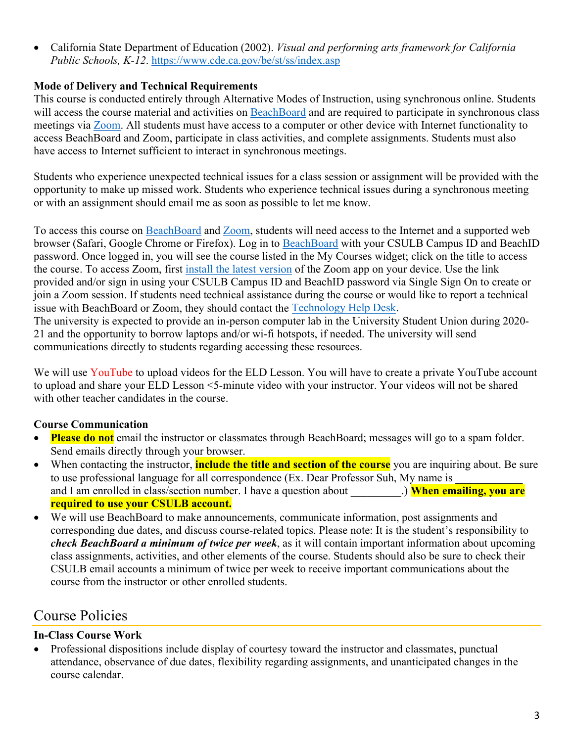• California State Department of Education (2002). *Visual and performing arts framework for California Public Schools, K-12*.<https://www.cde.ca.gov/be/st/ss/index.asp>

# **Mode of Delivery and Technical Requirements**

This course is conducted entirely through Alternative Modes of Instruction, using synchronous online. Students will access the course material and activities on [BeachBoard](https://bbcsulb.desire2learn.com/d2l/home) and are required to participate in synchronous class meetings via [Zoom.](https://csulb.zoom.us/meeting) All students must have access to a computer or other device with Internet functionality to access BeachBoard and Zoom, participate in class activities, and complete assignments. Students must also have access to Internet sufficient to interact in synchronous meetings.

Students who experience unexpected technical issues for a class session or assignment will be provided with the opportunity to make up missed work. Students who experience technical issues during a synchronous meeting or with an assignment should email me as soon as possible to let me know.

To access this course on BeachBoard and [Zoom,](https://csulb.zoom.us/meeting) students will need access to the Internet and a supported web browser (Safari, Google Chrome or Firefox). Log in to [BeachBoard](https://bbcsulb.desire2learn.com/) with your CSULB Campus ID and BeachID password. Once logged in, you will see the course listed in the My Courses widget; click on the title to access the course. To access Zoom, first [install the latest version](https://zoom.us/download) of the Zoom app on your device. Use the link provided and/or sign in using your CSULB Campus ID and BeachID password via Single Sign On to create or join a Zoom session. If students need technical assistance during the course or would like to report a technical issue with BeachBoard or Zoom, they should contact the [Technology Help Desk.](https://www.csulb.edu/academic-technology-services/academic-technology-resources-for-students) The university is expected to provide an in-person computer lab in the University Student Union during 2020-

21 and the opportunity to borrow laptops and/or wi-fi hotspots, if needed. The university will send communications directly to students regarding accessing these resources.

We will use YouTube to upload videos for the ELD Lesson. You will have to create a private YouTube account to upload and share your ELD Lesson <5-minute video with your instructor. Your videos will not be shared with other teacher candidates in the course.

# **Course Communication**

- **Please do not** email the instructor or classmates through BeachBoard; messages will go to a spam folder. Send emails directly through your browser.
- When contacting the instructor, **include the title and section of the course** you are inquiring about. Be sure to use professional language for all correspondence (Ex. Dear Professor Suh, My name is and I am enrolled in class/section number. I have a question about **When emailing, you are required to use your CSULB account.**
- We will use BeachBoard to make announcements, communicate information, post assignments and corresponding due dates, and discuss course-related topics. Please note: It is the student's responsibility to *check BeachBoard a minimum of twice per week*, as it will contain important information about upcoming class assignments, activities, and other elements of the course. Students should also be sure to check their CSULB email accounts a minimum of twice per week to receive important communications about the course from the instructor or other enrolled students.

# Course Policies

# **In-Class Course Work**

• Professional dispositions include display of courtesy toward the instructor and classmates, punctual attendance, observance of due dates, flexibility regarding assignments, and unanticipated changes in the course calendar.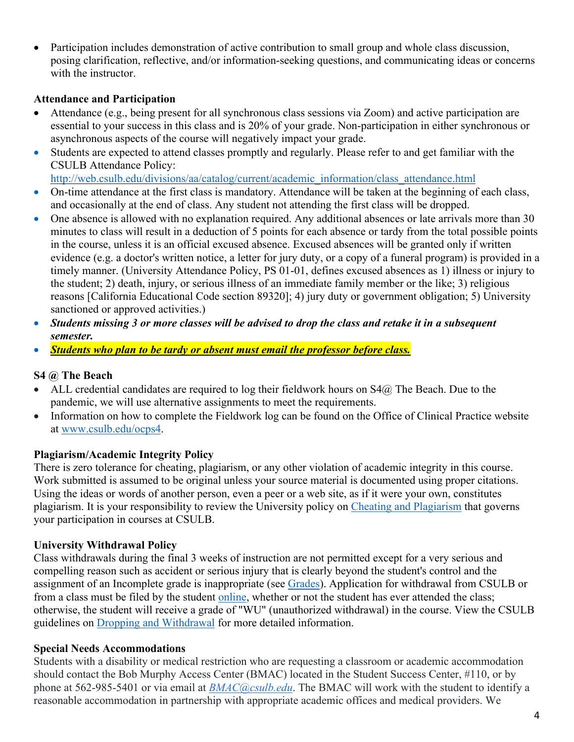• Participation includes demonstration of active contribution to small group and whole class discussion, posing clarification, reflective, and/or information-seeking questions, and communicating ideas or concerns with the instructor.

#### **Attendance and Participation**

- Attendance (e.g., being present for all synchronous class sessions via Zoom) and active participation are essential to your success in this class and is 20% of your grade. Non-participation in either synchronous or asynchronous aspects of the course will negatively impact your grade.
- Students are expected to attend classes promptly and regularly. Please refer to and get familiar with the CSULB Attendance Policy:

[http://web.csulb.edu/divisions/aa/catalog/current/academic\\_information/class\\_attendance.html](http://web.csulb.edu/divisions/aa/catalog/current/academic_information/class_attendance.html)

- On-time attendance at the first class is mandatory. Attendance will be taken at the beginning of each class, and occasionally at the end of class. Any student not attending the first class will be dropped.
- One absence is allowed with no explanation required. Any additional absences or late arrivals more than 30 minutes to class will result in a deduction of 5 points for each absence or tardy from the total possible points in the course, unless it is an official excused absence. Excused absences will be granted only if written evidence (e.g. a doctor's written notice, a letter for jury duty, or a copy of a funeral program) is provided in a timely manner. (University Attendance Policy, PS 01-01, defines excused absences as 1) illness or injury to the student; 2) death, injury, or serious illness of an immediate family member or the like; 3) religious reasons [California Educational Code section 89320]; 4) jury duty or government obligation; 5) University sanctioned or approved activities.)
- *Students missing 3 or more classes will be advised to drop the class and retake it in a subsequent semester.*
- *Students who plan to be tardy or absent must email the professor before class.*

### **S4 @ The Beach**

- ALL credential candidates are required to log their fieldwork hours on  $S4@$  The Beach. Due to the pandemic, we will use alternative assignments to meet the requirements.
- Information on how to complete the Fieldwork log can be found on the Office of Clinical Practice website at [www.csulb.edu/ocps4.](http://www.csulb.edu/ocps4)

### **Plagiarism/Academic Integrity Policy**

There is zero tolerance for cheating, plagiarism, or any other violation of academic integrity in this course. Work submitted is assumed to be original unless your source material is documented using proper citations. Using the ideas or words of another person, even a peer or a web site, as if it were your own, constitutes plagiarism. It is your responsibility to review the University policy on [Cheating and Plagiarism](http://catalog.csulb.edu/content.php?catoid=5&navoid=369#cheating-and-plagiarism) that governs your participation in courses at CSULB.

### **University Withdrawal Policy**

Class withdrawals during the final 3 weeks of instruction are not permitted except for a very serious and compelling reason such as accident or serious injury that is clearly beyond the student's control and the assignment of an Incomplete grade is inappropriate (see [Grades\)](http://www.csulb.edu/depts/enrollment/student_academic_records/grading.html). Application for withdrawal from CSULB or from a class must be filed by the student [online,](https://www.csulb.edu/student-records/dropping-and-withdrawing) whether or not the student has ever attended the class; otherwise, the student will receive a grade of "WU" (unauthorized withdrawal) in the course. View the CSULB guidelines on [Dropping and Withdrawal](https://www.csulb.edu/student-records/dropping-and-withdrawing#:%7E:text=Policy,after%20separation%20from%20the%20university.) for more detailed information.

### **Special Needs Accommodations**

Students with a disability or medical restriction who are requesting a classroom or academic accommodation should contact the Bob Murphy Access Center (BMAC) located in the Student Success Center, #110, or by phone at 562-985-5401 or via email at *[BMAC@csulb.edu](mailto:BMAC@csulb.edu)*. The BMAC will work with the student to identify a reasonable accommodation in partnership with appropriate academic offices and medical providers. We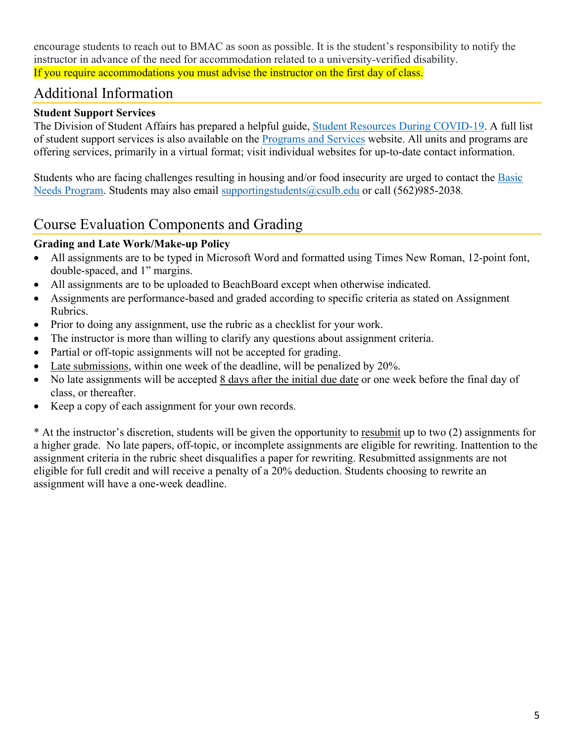encourage students to reach out to BMAC as soon as possible. It is the student's responsibility to notify the instructor in advance of the need for accommodation related to a university-verified disability. If you require accommodations you must advise the instructor on the first day of class.

# Additional Information

## **Student Support Services**

The Division of Student Affairs has prepared a helpful guide, [Student Resources During COVID-19.](https://rb.gy/ql7w8j) A full list of student support services is also available on the [Programs and Services](http://web.csulb.edu/divisions/students/programs.html) website. All units and programs are offering services, primarily in a virtual format; visit individual websites for up-to-date contact information.

Students who are facing challenges resulting in housing and/or food insecurity are urged to contact the [Basic](http://web.csulb.edu/divisions/students/basic_needs_program/index.html)  [Needs Program.](http://web.csulb.edu/divisions/students/basic_needs_program/index.html) Students may also email [supportingstudents@csulb.edu](mailto:supportingstudents@csulb.edu) or call (562)985-2038*.*

# Course Evaluation Components and Grading

### **Grading and Late Work/Make-up Policy**

- All assignments are to be typed in Microsoft Word and formatted using Times New Roman, 12-point font, double-spaced, and 1" margins.
- All assignments are to be uploaded to BeachBoard except when otherwise indicated.
- Assignments are performance-based and graded according to specific criteria as stated on Assignment Rubrics.
- Prior to doing any assignment, use the rubric as a checklist for your work.
- The instructor is more than willing to clarify any questions about assignment criteria.
- Partial or off-topic assignments will not be accepted for grading.
- Late submissions, within one week of the deadline, will be penalized by 20%.
- No late assignments will be accepted 8 days after the initial due date or one week before the final day of class, or thereafter.
- Keep a copy of each assignment for your own records.

\* At the instructor's discretion, students will be given the opportunity to resubmit up to two (2) assignments for a higher grade. No late papers, off-topic, or incomplete assignments are eligible for rewriting. Inattention to the assignment criteria in the rubric sheet disqualifies a paper for rewriting. Resubmitted assignments are not eligible for full credit and will receive a penalty of a 20% deduction. Students choosing to rewrite an assignment will have a one-week deadline.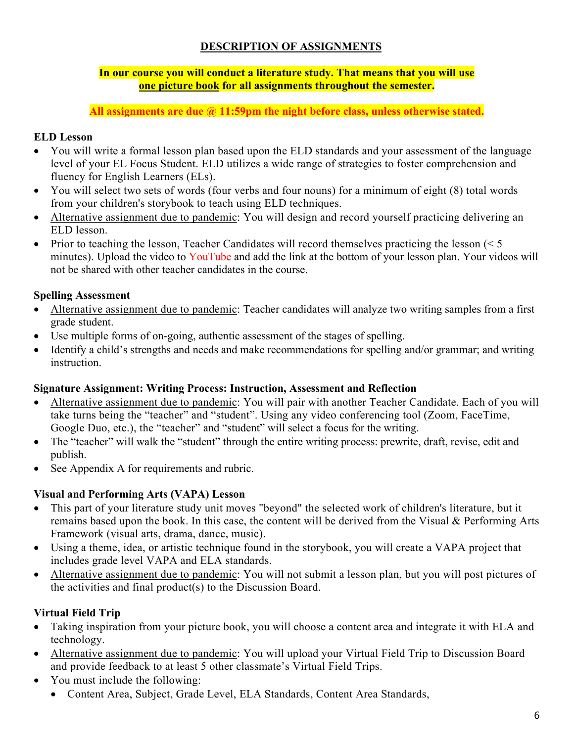## **DESCRIPTION OF ASSIGNMENTS**

#### **In our course you will conduct a literature study. That means that you will use one picture book for all assignments throughout the semester.**

**All assignments are due @ 11:59pm the night before class, unless otherwise stated.**

# **ELD Lesson**

- You will write a formal lesson plan based upon the ELD standards and your assessment of the language level of your EL Focus Student. ELD utilizes a wide range of strategies to foster comprehension and fluency for English Learners (ELs).
- You will select two sets of words (four verbs and four nouns) for a minimum of eight (8) total words from your children's storybook to teach using ELD techniques.
- Alternative assignment due to pandemic: You will design and record yourself practicing delivering an ELD lesson.
- Prior to teaching the lesson, Teacher Candidates will record themselves practicing the lesson  $(< 5$ minutes). Upload the video to YouTube and add the link at the bottom of your lesson plan. Your videos will not be shared with other teacher candidates in the course.

# **Spelling Assessment**

- Alternative assignment due to pandemic: Teacher candidates will analyze two writing samples from a first grade student.
- Use multiple forms of on-going, authentic assessment of the stages of spelling.
- Identify a child's strengths and needs and make recommendations for spelling and/or grammar; and writing instruction.

### **Signature Assignment: Writing Process: Instruction, Assessment and Reflection**

- Alternative assignment due to pandemic: You will pair with another Teacher Candidate. Each of you will take turns being the "teacher" and "student". Using any video conferencing tool (Zoom, FaceTime, Google Duo, etc.), the "teacher" and "student" will select a focus for the writing.
- The "teacher" will walk the "student" through the entire writing process: prewrite, draft, revise, edit and publish.
- See Appendix A for requirements and rubric.

# **Visual and Performing Arts (VAPA) Lesson**

- This part of your literature study unit moves "beyond" the selected work of children's literature, but it remains based upon the book. In this case, the content will be derived from the Visual & Performing Arts Framework (visual arts, drama, dance, music).
- Using a theme, idea, or artistic technique found in the storybook, you will create a VAPA project that includes grade level VAPA and ELA standards.
- Alternative assignment due to pandemic: You will not submit a lesson plan, but you will post pictures of the activities and final product(s) to the Discussion Board.

# **Virtual Field Trip**

- Taking inspiration from your picture book, you will choose a content area and integrate it with ELA and technology.
- Alternative assignment due to pandemic: You will upload your Virtual Field Trip to Discussion Board and provide feedback to at least 5 other classmate's Virtual Field Trips.
- You must include the following:
	- Content Area, Subject, Grade Level, ELA Standards, Content Area Standards,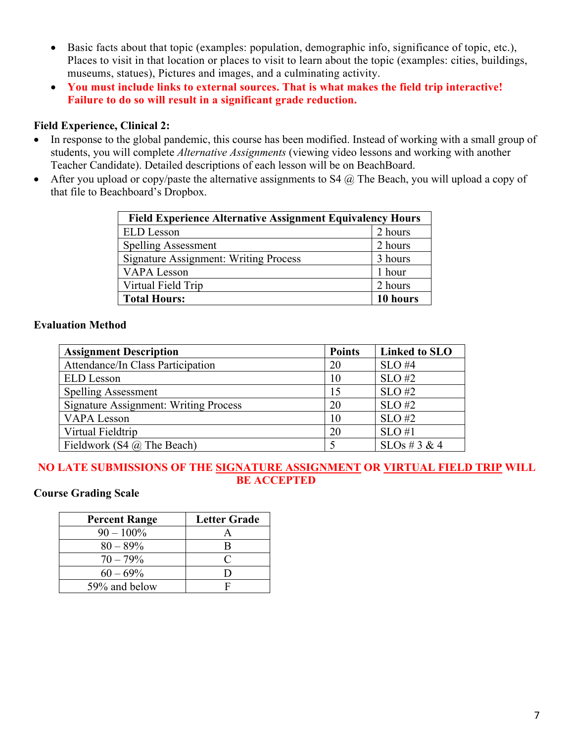- Basic facts about that topic (examples: population, demographic info, significance of topic, etc.), Places to visit in that location or places to visit to learn about the topic (examples: cities, buildings, museums, statues), Pictures and images, and a culminating activity.
- **You must include links to external sources. That is what makes the field trip interactive! Failure to do so will result in a significant grade reduction.**

### **Field Experience, Clinical 2:**

- In response to the global pandemic, this course has been modified. Instead of working with a small group of students, you will complete *Alternative Assignments* (viewing video lessons and working with another Teacher Candidate). Detailed descriptions of each lesson will be on BeachBoard.
- After you upload or copy/paste the alternative assignments to  $S4$   $\omega$  The Beach, you will upload a copy of that file to Beachboard's Dropbox.

| <b>Field Experience Alternative Assignment Equivalency Hours</b> |          |  |
|------------------------------------------------------------------|----------|--|
| <b>ELD</b> Lesson                                                | 2 hours  |  |
| <b>Spelling Assessment</b>                                       | 2 hours  |  |
| <b>Signature Assignment: Writing Process</b>                     | 3 hours  |  |
| <b>VAPA</b> Lesson                                               | 1 hour   |  |
| Virtual Field Trip                                               | 2 hours  |  |
| <b>Total Hours:</b>                                              | 10 hours |  |

# **Evaluation Method**

| <b>Assignment Description</b>                | <b>Points</b> | <b>Linked to SLO</b> |
|----------------------------------------------|---------------|----------------------|
| Attendance/In Class Participation            | 20            | $SLO$ #4             |
| <b>ELD</b> Lesson                            | 10            | $SLO$ #2             |
| <b>Spelling Assessment</b>                   | 15            | $SLO$ #2             |
| <b>Signature Assignment: Writing Process</b> | 20            | $SLO$ #2             |
| <b>VAPA Lesson</b>                           | 10            | $SLO$ #2             |
| Virtual Fieldtrip                            | 20            | $SLO$ #1             |
| Fieldwork (S4 $\omega$ The Beach)            |               | SLOs # 3 & 4         |

# **NO LATE SUBMISSIONS OF THE SIGNATURE ASSIGNMENT OR VIRTUAL FIELD TRIP WILL BE ACCEPTED**

### **Course Grading Scale**

| <b>Percent Range</b> | <b>Letter Grade</b> |
|----------------------|---------------------|
| $90 - 100\%$         |                     |
| $80 - 89\%$          | R                   |
| $70 - 79\%$          | $\subset$           |
| $60 - 69\%$          |                     |
| 59% and below        |                     |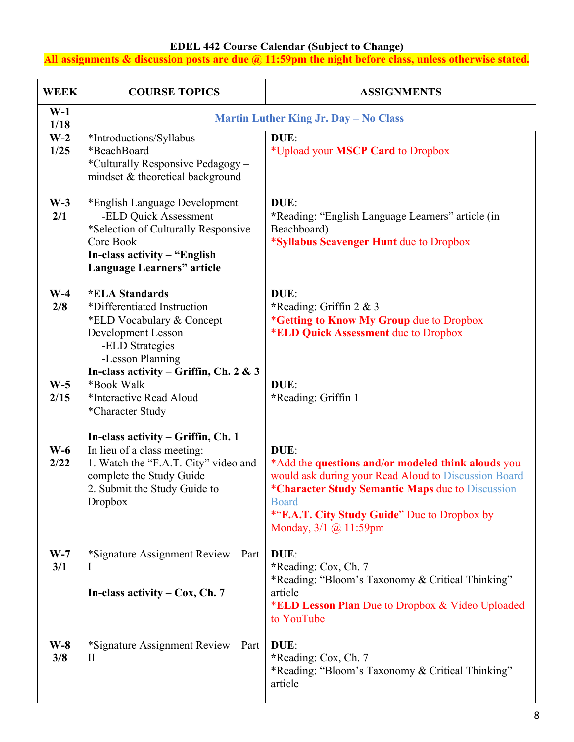#### **EDEL 442 Course Calendar (Subject to Change)**

**All assignments & discussion posts are due @ 11:59pm the night before class, unless otherwise stated.**

| <b>WEEK</b>   | <b>COURSE TOPICS</b>                                                                                                                                                                            | <b>ASSIGNMENTS</b>                                                                                                                                                                                                                                              |
|---------------|-------------------------------------------------------------------------------------------------------------------------------------------------------------------------------------------------|-----------------------------------------------------------------------------------------------------------------------------------------------------------------------------------------------------------------------------------------------------------------|
| $W-1$<br>1/18 |                                                                                                                                                                                                 | <b>Martin Luther King Jr. Day - No Class</b>                                                                                                                                                                                                                    |
| $W-2$<br>1/25 | *Introductions/Syllabus<br>*BeachBoard<br>*Culturally Responsive Pedagogy -<br>mindset & theoretical background                                                                                 | DUE:<br>*Upload your MSCP Card to Dropbox                                                                                                                                                                                                                       |
| $W-3$<br>2/1  | *English Language Development<br>-ELD Quick Assessment<br>*Selection of Culturally Responsive<br>Core Book<br>In-class activity $-$ "English"<br><b>Language Learners" article</b>              | DUE:<br>*Reading: "English Language Learners" article (in<br>Beachboard)<br>*Syllabus Scavenger Hunt due to Dropbox                                                                                                                                             |
| $W-4$<br>2/8  | <i><b>*ELA Standards</b></i><br>*Differentiated Instruction<br>*ELD Vocabulary & Concept<br>Development Lesson<br>-ELD Strategies<br>-Lesson Planning<br>In-class activity – Griffin, Ch. 2 & 3 | DUE:<br>*Reading: Griffin 2 & 3<br>*Getting to Know My Group due to Dropbox<br>*ELD Quick Assessment due to Dropbox                                                                                                                                             |
| $W-5$<br>2/15 | *Book Walk<br>*Interactive Read Aloud<br>*Character Study<br>In-class activity – Griffin, Ch. 1                                                                                                 | DUE:<br>*Reading: Griffin 1                                                                                                                                                                                                                                     |
| $W-6$<br>2/22 | In lieu of a class meeting:<br>1. Watch the "F.A.T. City" video and<br>complete the Study Guide<br>2. Submit the Study Guide to<br>Dropbox                                                      | DUE:<br>*Add the questions and/or modeled think alouds you<br>would ask during your Read Aloud to Discussion Board<br>*Character Study Semantic Maps due to Discussion<br><b>Board</b><br>*"F.A.T. City Study Guide" Due to Dropbox by<br>Monday, 3/1 @ 11:59pm |
| $W-7$<br>3/1  | *Signature Assignment Review - Part<br>$\bf{l}$<br>In-class activity $-$ Cox, Ch. 7                                                                                                             | DUE:<br>*Reading: Cox, Ch. 7<br>*Reading: "Bloom's Taxonomy & Critical Thinking"<br>article<br>*ELD Lesson Plan Due to Dropbox & Video Uploaded<br>to YouTube                                                                                                   |
| $W-8$<br>3/8  | *Signature Assignment Review - Part<br>$\rm II$                                                                                                                                                 | DUE:<br>*Reading: Cox, Ch. 7<br>*Reading: "Bloom's Taxonomy & Critical Thinking"<br>article                                                                                                                                                                     |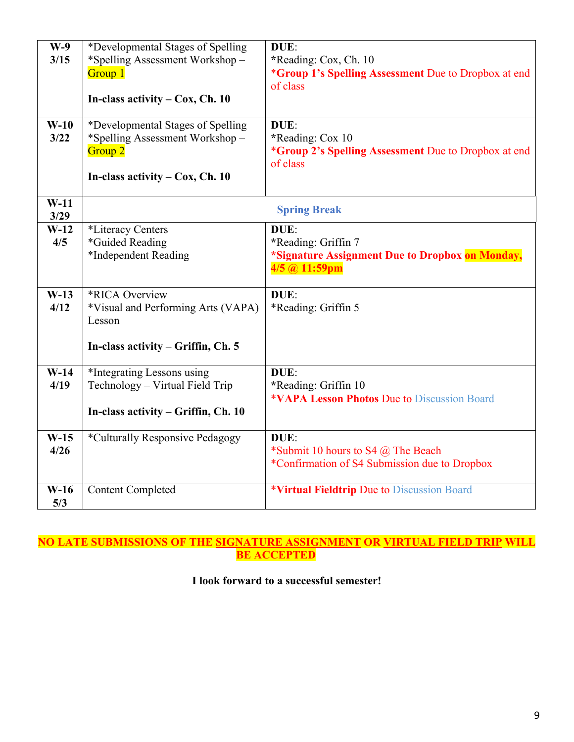| $W-9$<br>3/15<br>$W-10$ | *Developmental Stages of Spelling<br>*Spelling Assessment Workshop-<br>Group 1<br>In-class activity $-$ Cox, Ch. 10<br>*Developmental Stages of Spelling | DUE:<br>*Reading: Cox, Ch. 10<br>*Group 1's Spelling Assessment Due to Dropbox at end<br>of class<br>DUE: |
|-------------------------|----------------------------------------------------------------------------------------------------------------------------------------------------------|-----------------------------------------------------------------------------------------------------------|
| 3/22                    | *Spelling Assessment Workshop-<br>Group <sub>2</sub><br>In-class activity $-$ Cox, Ch. 10                                                                | *Reading: Cox 10<br><i>*Group 2's Spelling Assessment Due to Dropbox at end</i><br>of class               |
| $W-11$<br>3/29          |                                                                                                                                                          | <b>Spring Break</b>                                                                                       |
| $W-12$<br>4/5           | *Literacy Centers<br>*Guided Reading                                                                                                                     | DUE:<br>*Reading: Griffin 7                                                                               |
|                         | *Independent Reading                                                                                                                                     | *Signature Assignment Due to Dropbox on Monday,<br>$4/5$ @ 11:59pm                                        |
| $W-13$<br>4/12          | *RICA Overview<br>*Visual and Performing Arts (VAPA)<br>Lesson                                                                                           | DUE:<br>*Reading: Griffin 5                                                                               |
|                         | In-class activity $-$ Griffin, Ch. 5                                                                                                                     |                                                                                                           |
| $W-14$<br>4/19          | *Integrating Lessons using<br>Technology - Virtual Field Trip                                                                                            | DUE:<br>*Reading: Griffin 10<br><b>*VAPA Lesson Photos Due to Discussion Board</b>                        |
|                         | In-class activity – Griffin, Ch. 10                                                                                                                      |                                                                                                           |
| $W-15$<br>4/26          | *Culturally Responsive Pedagogy                                                                                                                          | DUE:<br>*Submit 10 hours to S4 $@$ The Beach<br>*Confirmation of S4 Submission due to Dropbox             |
| $W-16$<br>5/3           | <b>Content Completed</b>                                                                                                                                 | *Virtual Fieldtrip Due to Discussion Board                                                                |

### **NO LATE SUBMISSIONS OF THE SIGNATURE ASSIGNMENT OR VIRTUAL FIELD TRIP WILL BE ACCEPTED**

# **I look forward to a successful semester!**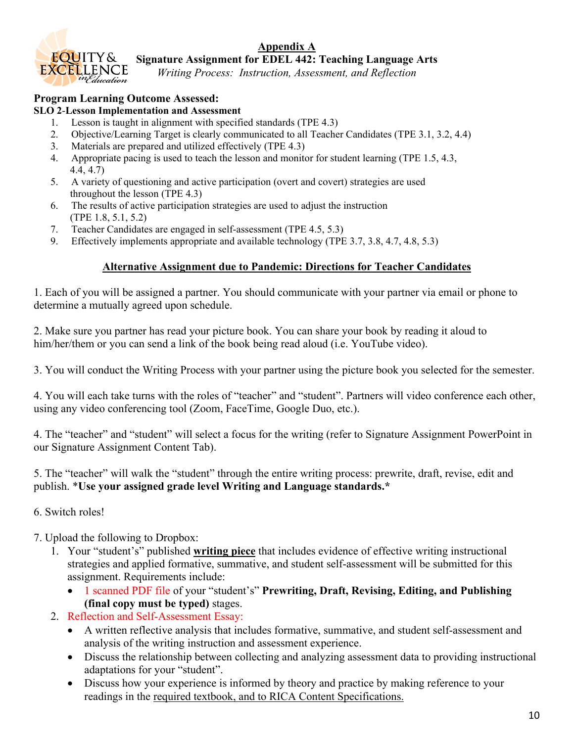



**Signature Assignment for EDEL 442: Teaching Language Arts**

*Writing Process: Instruction, Assessment, and Reflection*

# **Program Learning Outcome Assessed:**

#### **SLO 2**-**Lesson Implementation and Assessment**

- 1. Lesson is taught in alignment with specified standards (TPE 4.3)
- 2. Objective/Learning Target is clearly communicated to all Teacher Candidates (TPE 3.1, 3.2, 4.4)
- 3. Materials are prepared and utilized effectively (TPE 4.3)
- 4. Appropriate pacing is used to teach the lesson and monitor for student learning (TPE 1.5, 4.3, 4.4, 4.7)
- 5. A variety of questioning and active participation (overt and covert) strategies are used throughout the lesson (TPE 4.3)
- 6. The results of active participation strategies are used to adjust the instruction (TPE 1.8, 5.1, 5.2)
- 7. Teacher Candidates are engaged in self-assessment (TPE 4.5, 5.3)
- 9. Effectively implements appropriate and available technology (TPE 3.7, 3.8, 4.7, 4.8, 5.3)

### **Alternative Assignment due to Pandemic: Directions for Teacher Candidates**

1. Each of you will be assigned a partner. You should communicate with your partner via email or phone to determine a mutually agreed upon schedule.

2. Make sure you partner has read your picture book. You can share your book by reading it aloud to him/her/them or you can send a link of the book being read aloud (i.e. YouTube video).

3. You will conduct the Writing Process with your partner using the picture book you selected for the semester.

4. You will each take turns with the roles of "teacher" and "student". Partners will video conference each other, using any video conferencing tool (Zoom, FaceTime, Google Duo, etc.).

4. The "teacher" and "student" will select a focus for the writing (refer to Signature Assignment PowerPoint in our Signature Assignment Content Tab).

5. The "teacher" will walk the "student" through the entire writing process: prewrite, draft, revise, edit and publish. \***Use your assigned grade level Writing and Language standards.\***

### 6. Switch roles!

- 7. Upload the following to Dropbox:
	- 1. Your "student's" published **writing piece** that includes evidence of effective writing instructional strategies and applied formative, summative, and student self-assessment will be submitted for this assignment. Requirements include:
		- 1 scanned PDF file of your "student's" **Prewriting, Draft, Revising, Editing, and Publishing (final copy must be typed)** stages.
	- 2. Reflection and Self-Assessment Essay:
		- A written reflective analysis that includes formative, summative, and student self-assessment and analysis of the writing instruction and assessment experience.
		- Discuss the relationship between collecting and analyzing assessment data to providing instructional adaptations for your "student".
		- Discuss how your experience is informed by theory and practice by making reference to your readings in the required textbook, and to RICA Content Specifications.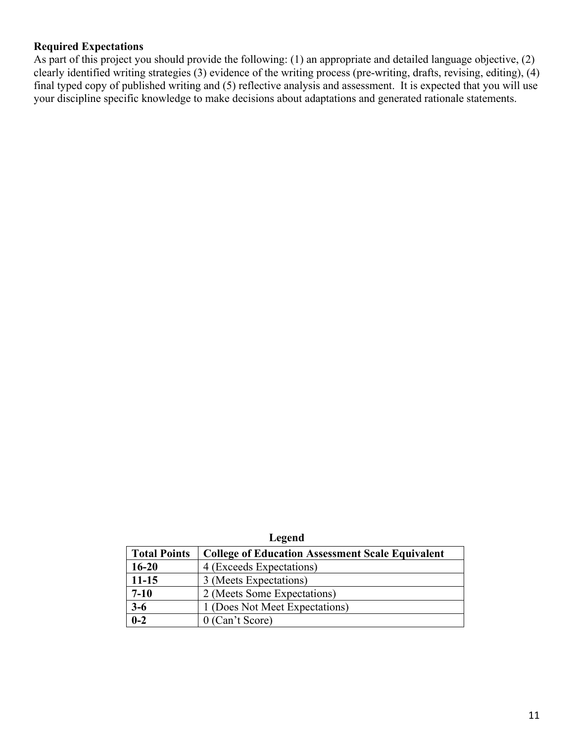## **Required Expectations**

As part of this project you should provide the following: (1) an appropriate and detailed language objective, (2) clearly identified writing strategies (3) evidence of the writing process (pre-writing, drafts, revising, editing), (4) final typed copy of published writing and (5) reflective analysis and assessment. It is expected that you will use your discipline specific knowledge to make decisions about adaptations and generated rationale statements.

| eoena |  |
|-------|--|
|       |  |

| <b>Total Points</b> | <b>College of Education Assessment Scale Equivalent</b> |
|---------------------|---------------------------------------------------------|
| $16 - 20$           | 4 (Exceeds Expectations)                                |
| $11 - 15$           | 3 (Meets Expectations)                                  |
| $7 - 10$            | 2 (Meets Some Expectations)                             |
| $3-6$               | 1 (Does Not Meet Expectations)                          |
| $0 - 2$             | $0$ (Can't Score)                                       |